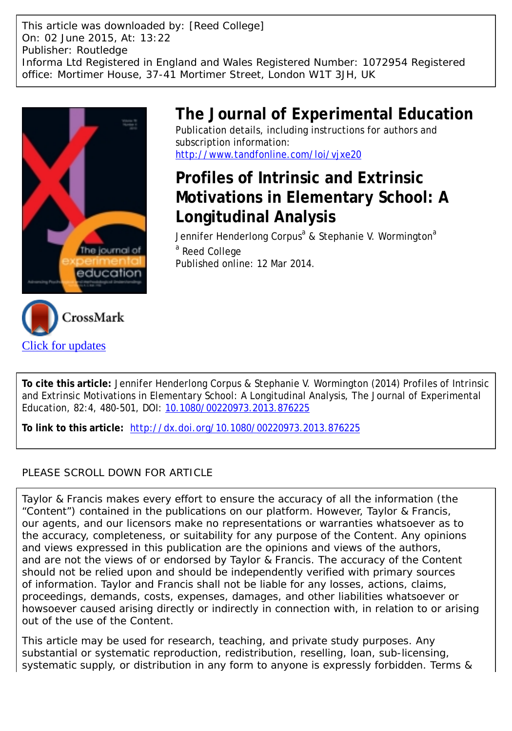This article was downloaded by: [Reed College] On: 02 June 2015, At: 13:22 Publisher: Routledge Informa Ltd Registered in England and Wales Registered Number: 1072954 Registered office: Mortimer House, 37-41 Mortimer Street, London W1T 3JH, UK



# **The Journal of Experimental Education**

Publication details, including instructions for authors and subscription information: <http://www.tandfonline.com/loi/vjxe20>

## **Profiles of Intrinsic and Extrinsic Motivations in Elementary School: A Longitudinal Analysis**

Jennifer Henderlong Corpus<sup>a</sup> & Stephanie V. Wormington<sup>a</sup> <sup>a</sup> Reed College Published online: 12 Mar 2014.



**To cite this article:** Jennifer Henderlong Corpus & Stephanie V. Wormington (2014) Profiles of Intrinsic and Extrinsic Motivations in Elementary School: A Longitudinal Analysis, The Journal of Experimental Education, 82:4, 480-501, DOI: [10.1080/00220973.2013.876225](http://www.tandfonline.com/action/showCitFormats?doi=10.1080/00220973.2013.876225)

**To link to this article:** <http://dx.doi.org/10.1080/00220973.2013.876225>

### PLEASE SCROLL DOWN FOR ARTICLE

Taylor & Francis makes every effort to ensure the accuracy of all the information (the "Content") contained in the publications on our platform. However, Taylor & Francis, our agents, and our licensors make no representations or warranties whatsoever as to the accuracy, completeness, or suitability for any purpose of the Content. Any opinions and views expressed in this publication are the opinions and views of the authors, and are not the views of or endorsed by Taylor & Francis. The accuracy of the Content should not be relied upon and should be independently verified with primary sources of information. Taylor and Francis shall not be liable for any losses, actions, claims, proceedings, demands, costs, expenses, damages, and other liabilities whatsoever or howsoever caused arising directly or indirectly in connection with, in relation to or arising out of the use of the Content.

This article may be used for research, teaching, and private study purposes. Any substantial or systematic reproduction, redistribution, reselling, loan, sub-licensing, systematic supply, or distribution in any form to anyone is expressly forbidden. Terms &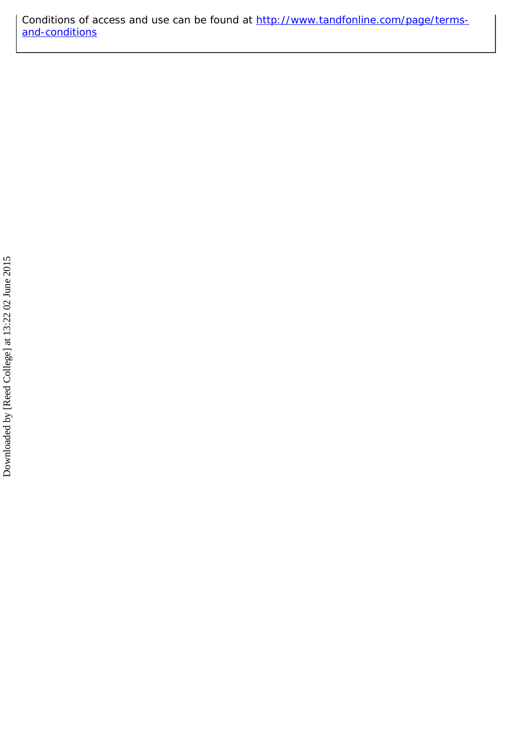Conditions of access and use can be found at [http://www.tandfonline.com/page/terms](http://www.tandfonline.com/page/terms-and-conditions)[and-conditions](http://www.tandfonline.com/page/terms-and-conditions)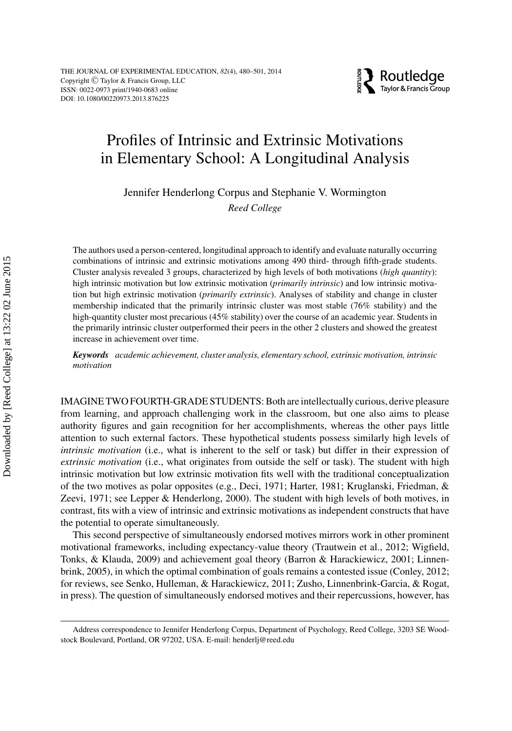

### Profiles of Intrinsic and Extrinsic Motivations in Elementary School: A Longitudinal Analysis

Jennifer Henderlong Corpus and Stephanie V. Wormington

*Reed College*

The authors used a person-centered, longitudinal approach to identify and evaluate naturally occurring combinations of intrinsic and extrinsic motivations among 490 third- through fifth-grade students. Cluster analysis revealed 3 groups, characterized by high levels of both motivations (*high quantity*): high intrinsic motivation but low extrinsic motivation (*primarily intrinsic*) and low intrinsic motivation but high extrinsic motivation (*primarily extrinsic*). Analyses of stability and change in cluster membership indicated that the primarily intrinsic cluster was most stable (76% stability) and the high-quantity cluster most precarious (45% stability) over the course of an academic year. Students in the primarily intrinsic cluster outperformed their peers in the other 2 clusters and showed the greatest increase in achievement over time.

*Keywords academic achievement, cluster analysis, elementary school, extrinsic motivation, intrinsic motivation*

IMAGINE TWO FOURTH-GRADE STUDENTS: Both are intellectually curious, derive pleasure from learning, and approach challenging work in the classroom, but one also aims to please authority figures and gain recognition for her accomplishments, whereas the other pays little attention to such external factors. These hypothetical students possess similarly high levels of *intrinsic motivation* (i.e., what is inherent to the self or task) but differ in their expression of *extrinsic motivation* (i.e., what originates from outside the self or task). The student with high intrinsic motivation but low extrinsic motivation fits well with the traditional conceptualization of the two motives as polar opposites (e.g., Deci, 1971; Harter, 1981; Kruglanski, Friedman, & Zeevi, 1971; see Lepper & Henderlong, 2000). The student with high levels of both motives, in contrast, fits with a view of intrinsic and extrinsic motivations as independent constructs that have the potential to operate simultaneously.

This second perspective of simultaneously endorsed motives mirrors work in other prominent motivational frameworks, including expectancy-value theory (Trautwein et al., 2012; Wigfield, Tonks, & Klauda, 2009) and achievement goal theory (Barron & Harackiewicz, 2001; Linnenbrink, 2005), in which the optimal combination of goals remains a contested issue (Conley, 2012; for reviews, see Senko, Hulleman, & Harackiewicz, 2011; Zusho, Linnenbrink-Garcia, & Rogat, in press). The question of simultaneously endorsed motives and their repercussions, however, has

Address correspondence to Jennifer Henderlong Corpus, Department of Psychology, Reed College, 3203 SE Woodstock Boulevard, Portland, OR 97202, USA. E-mail: henderlj@reed.edu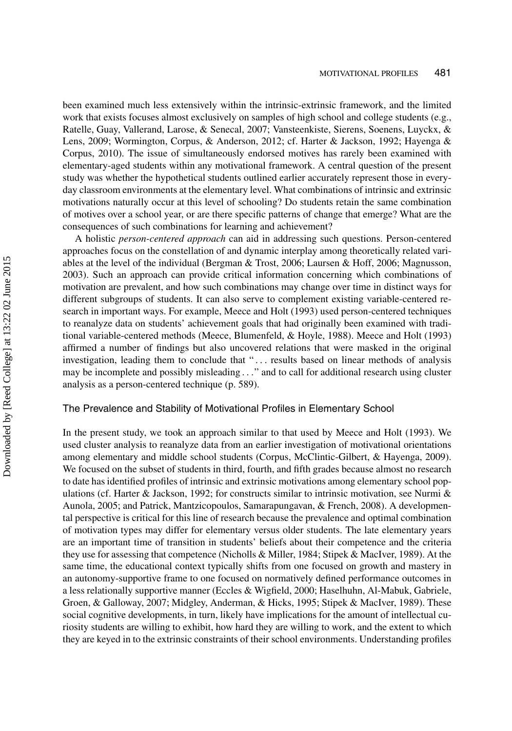been examined much less extensively within the intrinsic-extrinsic framework, and the limited work that exists focuses almost exclusively on samples of high school and college students (e.g., Ratelle, Guay, Vallerand, Larose, & Senecal, 2007; Vansteenkiste, Sierens, Soenens, Luyckx, & Lens, 2009; Wormington, Corpus, & Anderson, 2012; cf. Harter & Jackson, 1992; Hayenga & Corpus, 2010). The issue of simultaneously endorsed motives has rarely been examined with elementary-aged students within any motivational framework. A central question of the present study was whether the hypothetical students outlined earlier accurately represent those in everyday classroom environments at the elementary level. What combinations of intrinsic and extrinsic motivations naturally occur at this level of schooling? Do students retain the same combination of motives over a school year, or are there specific patterns of change that emerge? What are the consequences of such combinations for learning and achievement?

A holistic *person-centered approach* can aid in addressing such questions. Person-centered approaches focus on the constellation of and dynamic interplay among theoretically related variables at the level of the individual (Bergman & Trost, 2006; Laursen & Hoff, 2006; Magnusson, 2003). Such an approach can provide critical information concerning which combinations of motivation are prevalent, and how such combinations may change over time in distinct ways for different subgroups of students. It can also serve to complement existing variable-centered research in important ways. For example, Meece and Holt (1993) used person-centered techniques to reanalyze data on students' achievement goals that had originally been examined with traditional variable-centered methods (Meece, Blumenfeld, & Hoyle, 1988). Meece and Holt (1993) affirmed a number of findings but also uncovered relations that were masked in the original investigation, leading them to conclude that "... results based on linear methods of analysis may be incomplete and possibly misleading . . ." and to call for additional research using cluster analysis as a person-centered technique (p. 589).

#### The Prevalence and Stability of Motivational Profiles in Elementary School

In the present study, we took an approach similar to that used by Meece and Holt (1993). We used cluster analysis to reanalyze data from an earlier investigation of motivational orientations among elementary and middle school students (Corpus, McClintic-Gilbert, & Hayenga, 2009). We focused on the subset of students in third, fourth, and fifth grades because almost no research to date has identified profiles of intrinsic and extrinsic motivations among elementary school populations (cf. Harter & Jackson, 1992; for constructs similar to intrinsic motivation, see Nurmi  $\&$ Aunola, 2005; and Patrick, Mantzicopoulos, Samarapungavan, & French, 2008). A developmental perspective is critical for this line of research because the prevalence and optimal combination of motivation types may differ for elementary versus older students. The late elementary years are an important time of transition in students' beliefs about their competence and the criteria they use for assessing that competence (Nicholls & Miller, 1984; Stipek & MacIver, 1989). At the same time, the educational context typically shifts from one focused on growth and mastery in an autonomy-supportive frame to one focused on normatively defined performance outcomes in a less relationally supportive manner (Eccles & Wigfield, 2000; Haselhuhn, Al-Mabuk, Gabriele, Groen, & Galloway, 2007; Midgley, Anderman, & Hicks, 1995; Stipek & MacIver, 1989). These social cognitive developments, in turn, likely have implications for the amount of intellectual curiosity students are willing to exhibit, how hard they are willing to work, and the extent to which they are keyed in to the extrinsic constraints of their school environments. Understanding profiles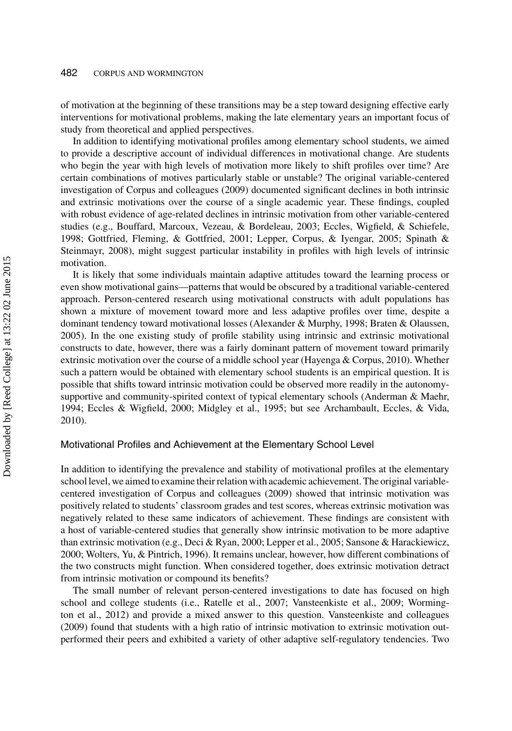#### 482 CORPUS AND WORMINGTON

of motivation at the beginning of these transitions may be a step toward designing effective early interventions for motivational problems, making the late elementary years an important focus of study from theoretical and applied perspectives.

In addition to identifying motivational profiles among elementary school students, we aimed to provide a descriptive account of individual differences in motivational change. Are students who begin the year with high levels of motivation more likely to shift profiles over time? Are certain combinations of motives particularly stable or unstable? The original variable-centered investigation of Corpus and colleagues (2009) documented significant declines in both intrinsic and extrinsic motivations over the course of a single academic year. These findings, coupled with robust evidence of age-related declines in intrinsic motivation from other variable-centered studies (e.g., Bouffard, Marcoux, Vezeau, & Bordeleau, 2003; Eccles, Wigfield, & Schiefele, 1998; Gottfried, Fleming, & Gottfried, 2001; Lepper, Corpus, & Iyengar, 2005; Spinath & Steinmayr, 2008), might suggest particular instability in profiles with high levels of intrinsic motivation.

It is likely that some individuals maintain adaptive attitudes toward the learning process or even show motivational gains—patterns that would be obscured by a traditional variable-centered approach. Person-centered research using motivational constructs with adult populations has shown a mixture of movement toward more and less adaptive profiles over time, despite a dominant tendency toward motivational losses (Alexander & Murphy, 1998; Braten & Olaussen, 2005). In the one existing study of profile stability using intrinsic and extrinsic motivational constructs to date, however, there was a fairly dominant pattern of movement toward primarily extrinsic motivation over the course of a middle school year (Hayenga & Corpus, 2010). Whether such a pattern would be obtained with elementary school students is an empirical question. It is possible that shifts toward intrinsic motivation could be observed more readily in the autonomysupportive and community-spirited context of typical elementary schools (Anderman & Maehr, 1994; Eccles & Wigfield, 2000; Midgley et al., 1995; but see Archambault, Eccles, & Vida, 2010).

#### Motivational Profiles and Achievement at the Elementary School Level

In addition to identifying the prevalence and stability of motivational profiles at the elementary school level, we aimed to examine their relation with academic achievement. The original variablecentered investigation of Corpus and colleagues (2009) showed that intrinsic motivation was positively related to students' classroom grades and test scores, whereas extrinsic motivation was negatively related to these same indicators of achievement. These findings are consistent with a host of variable-centered studies that generally show intrinsic motivation to be more adaptive than extrinsic motivation (e.g., Deci & Ryan, 2000; Lepper et al., 2005; Sansone & Harackiewicz, 2000; Wolters, Yu, & Pintrich, 1996). It remains unclear, however, how different combinations of the two constructs might function. When considered together, does extrinsic motivation detract from intrinsic motivation or compound its benefits?

The small number of relevant person-centered investigations to date has focused on high school and college students (i.e., Ratelle et al., 2007; Vansteenkiste et al., 2009; Wormington et al., 2012) and provide a mixed answer to this question. Vansteenkiste and colleagues (2009) found that students with a high ratio of intrinsic motivation to extrinsic motivation outperformed their peers and exhibited a variety of other adaptive self-regulatory tendencies. Two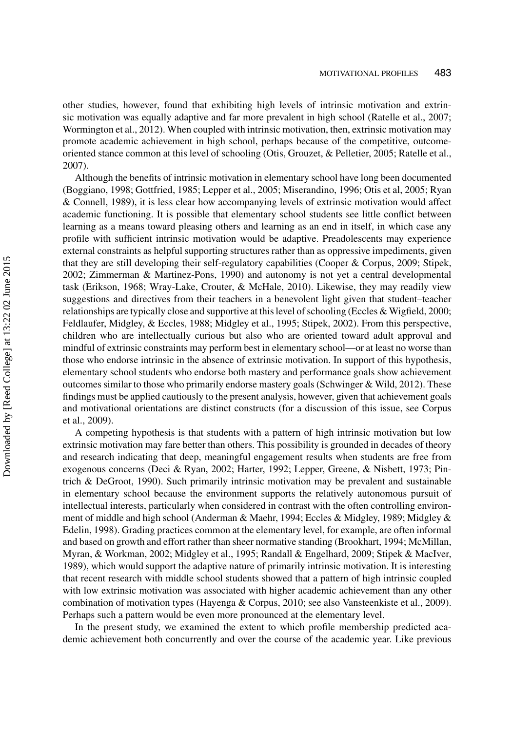other studies, however, found that exhibiting high levels of intrinsic motivation and extrinsic motivation was equally adaptive and far more prevalent in high school (Ratelle et al., 2007; Wormington et al., 2012). When coupled with intrinsic motivation, then, extrinsic motivation may promote academic achievement in high school, perhaps because of the competitive, outcomeoriented stance common at this level of schooling (Otis, Grouzet, & Pelletier, 2005; Ratelle et al., 2007).

Although the benefits of intrinsic motivation in elementary school have long been documented (Boggiano, 1998; Gottfried, 1985; Lepper et al., 2005; Miserandino, 1996; Otis et al, 2005; Ryan & Connell, 1989), it is less clear how accompanying levels of extrinsic motivation would affect academic functioning. It is possible that elementary school students see little conflict between learning as a means toward pleasing others and learning as an end in itself, in which case any profile with sufficient intrinsic motivation would be adaptive. Preadolescents may experience external constraints as helpful supporting structures rather than as oppressive impediments, given that they are still developing their self-regulatory capabilities (Cooper & Corpus, 2009; Stipek, 2002; Zimmerman & Martinez-Pons, 1990) and autonomy is not yet a central developmental task (Erikson, 1968; Wray-Lake, Crouter, & McHale, 2010). Likewise, they may readily view suggestions and directives from their teachers in a benevolent light given that student–teacher relationships are typically close and supportive at this level of schooling (Eccles & Wigfield, 2000; Feldlaufer, Midgley, & Eccles, 1988; Midgley et al., 1995; Stipek, 2002). From this perspective, children who are intellectually curious but also who are oriented toward adult approval and mindful of extrinsic constraints may perform best in elementary school—or at least no worse than those who endorse intrinsic in the absence of extrinsic motivation. In support of this hypothesis, elementary school students who endorse both mastery and performance goals show achievement outcomes similar to those who primarily endorse mastery goals (Schwinger & Wild, 2012). These findings must be applied cautiously to the present analysis, however, given that achievement goals and motivational orientations are distinct constructs (for a discussion of this issue, see Corpus et al., 2009).

A competing hypothesis is that students with a pattern of high intrinsic motivation but low extrinsic motivation may fare better than others. This possibility is grounded in decades of theory and research indicating that deep, meaningful engagement results when students are free from exogenous concerns (Deci & Ryan, 2002; Harter, 1992; Lepper, Greene, & Nisbett, 1973; Pintrich & DeGroot, 1990). Such primarily intrinsic motivation may be prevalent and sustainable in elementary school because the environment supports the relatively autonomous pursuit of intellectual interests, particularly when considered in contrast with the often controlling environment of middle and high school (Anderman & Maehr, 1994; Eccles & Midgley, 1989; Midgley & Edelin, 1998). Grading practices common at the elementary level, for example, are often informal and based on growth and effort rather than sheer normative standing (Brookhart, 1994; McMillan, Myran, & Workman, 2002; Midgley et al., 1995; Randall & Engelhard, 2009; Stipek & MacIver, 1989), which would support the adaptive nature of primarily intrinsic motivation. It is interesting that recent research with middle school students showed that a pattern of high intrinsic coupled with low extrinsic motivation was associated with higher academic achievement than any other combination of motivation types (Hayenga & Corpus, 2010; see also Vansteenkiste et al., 2009). Perhaps such a pattern would be even more pronounced at the elementary level.

In the present study, we examined the extent to which profile membership predicted academic achievement both concurrently and over the course of the academic year. Like previous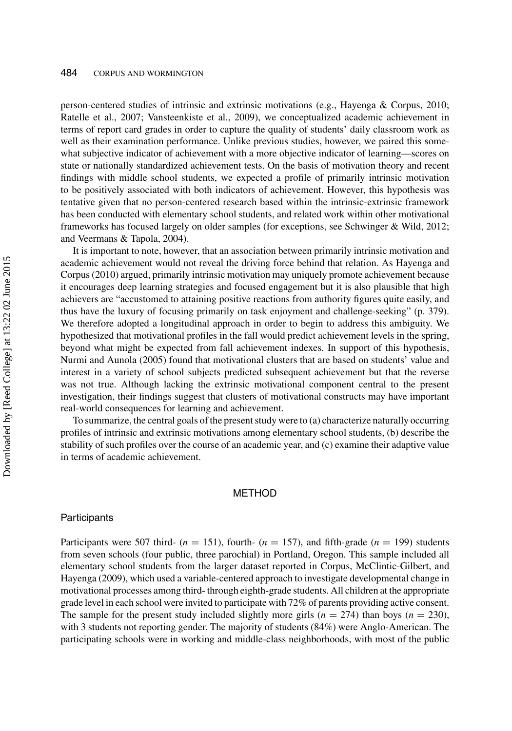person-centered studies of intrinsic and extrinsic motivations (e.g., Hayenga & Corpus, 2010; Ratelle et al., 2007; Vansteenkiste et al., 2009), we conceptualized academic achievement in terms of report card grades in order to capture the quality of students' daily classroom work as well as their examination performance. Unlike previous studies, however, we paired this somewhat subjective indicator of achievement with a more objective indicator of learning—scores on state or nationally standardized achievement tests. On the basis of motivation theory and recent findings with middle school students, we expected a profile of primarily intrinsic motivation to be positively associated with both indicators of achievement. However, this hypothesis was tentative given that no person-centered research based within the intrinsic-extrinsic framework has been conducted with elementary school students, and related work within other motivational frameworks has focused largely on older samples (for exceptions, see Schwinger & Wild, 2012; and Veermans & Tapola, 2004).

It is important to note, however, that an association between primarily intrinsic motivation and academic achievement would not reveal the driving force behind that relation. As Hayenga and Corpus (2010) argued, primarily intrinsic motivation may uniquely promote achievement because it encourages deep learning strategies and focused engagement but it is also plausible that high achievers are "accustomed to attaining positive reactions from authority figures quite easily, and thus have the luxury of focusing primarily on task enjoyment and challenge-seeking" (p. 379). We therefore adopted a longitudinal approach in order to begin to address this ambiguity. We hypothesized that motivational profiles in the fall would predict achievement levels in the spring, beyond what might be expected from fall achievement indexes. In support of this hypothesis, Nurmi and Aunola (2005) found that motivational clusters that are based on students' value and interest in a variety of school subjects predicted subsequent achievement but that the reverse was not true. Although lacking the extrinsic motivational component central to the present investigation, their findings suggest that clusters of motivational constructs may have important real-world consequences for learning and achievement.

To summarize, the central goals of the present study were to (a) characterize naturally occurring profiles of intrinsic and extrinsic motivations among elementary school students, (b) describe the stability of such profiles over the course of an academic year, and (c) examine their adaptive value in terms of academic achievement.

#### METHOD

#### **Participants**

Participants were 507 third-  $(n = 151)$ , fourth-  $(n = 157)$ , and fifth-grade  $(n = 199)$  students from seven schools (four public, three parochial) in Portland, Oregon. This sample included all elementary school students from the larger dataset reported in Corpus, McClintic-Gilbert, and Hayenga (2009), which used a variable-centered approach to investigate developmental change in motivational processes among third- through eighth-grade students. All children at the appropriate grade level in each school were invited to participate with 72% of parents providing active consent. The sample for the present study included slightly more girls  $(n = 274)$  than boys  $(n = 230)$ , with 3 students not reporting gender. The majority of students (84%) were Anglo-American. The participating schools were in working and middle-class neighborhoods, with most of the public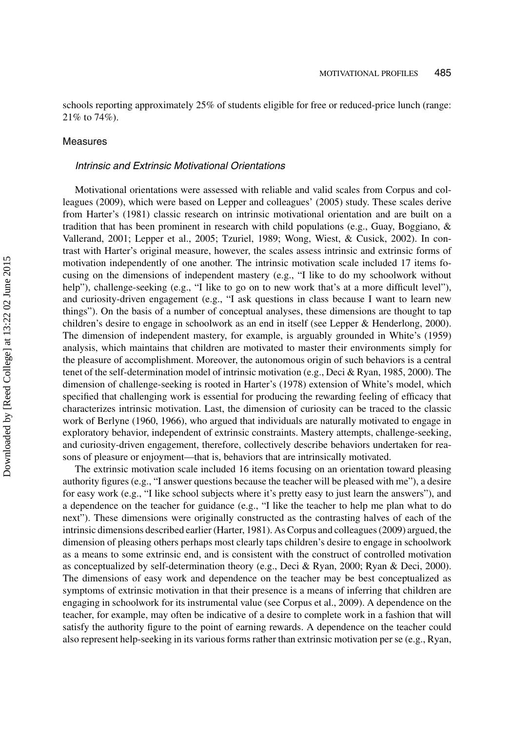schools reporting approximately 25% of students eligible for free or reduced-price lunch (range: 21% to 74%).

#### Measures

#### *Intrinsic and Extrinsic Motivational Orientations*

Motivational orientations were assessed with reliable and valid scales from Corpus and colleagues (2009), which were based on Lepper and colleagues' (2005) study. These scales derive from Harter's (1981) classic research on intrinsic motivational orientation and are built on a tradition that has been prominent in research with child populations (e.g., Guay, Boggiano, & Vallerand, 2001; Lepper et al., 2005; Tzuriel, 1989; Wong, Wiest, & Cusick, 2002). In contrast with Harter's original measure, however, the scales assess intrinsic and extrinsic forms of motivation independently of one another. The intrinsic motivation scale included 17 items focusing on the dimensions of independent mastery (e.g., "I like to do my schoolwork without help"), challenge-seeking (e.g., "I like to go on to new work that's at a more difficult level"), and curiosity-driven engagement (e.g., "I ask questions in class because I want to learn new things"). On the basis of a number of conceptual analyses, these dimensions are thought to tap children's desire to engage in schoolwork as an end in itself (see Lepper & Henderlong, 2000). The dimension of independent mastery, for example, is arguably grounded in White's (1959) analysis, which maintains that children are motivated to master their environments simply for the pleasure of accomplishment. Moreover, the autonomous origin of such behaviors is a central tenet of the self-determination model of intrinsic motivation (e.g., Deci & Ryan, 1985, 2000). The dimension of challenge-seeking is rooted in Harter's (1978) extension of White's model, which specified that challenging work is essential for producing the rewarding feeling of efficacy that characterizes intrinsic motivation. Last, the dimension of curiosity can be traced to the classic work of Berlyne (1960, 1966), who argued that individuals are naturally motivated to engage in exploratory behavior, independent of extrinsic constraints. Mastery attempts, challenge-seeking, and curiosity-driven engagement, therefore, collectively describe behaviors undertaken for reasons of pleasure or enjoyment—that is, behaviors that are intrinsically motivated.

The extrinsic motivation scale included 16 items focusing on an orientation toward pleasing authority figures (e.g., "I answer questions because the teacher will be pleased with me"), a desire for easy work (e.g., "I like school subjects where it's pretty easy to just learn the answers"), and a dependence on the teacher for guidance (e.g., "I like the teacher to help me plan what to do next"). These dimensions were originally constructed as the contrasting halves of each of the intrinsic dimensions described earlier (Harter, 1981). As Corpus and colleagues (2009) argued, the dimension of pleasing others perhaps most clearly taps children's desire to engage in schoolwork as a means to some extrinsic end, and is consistent with the construct of controlled motivation as conceptualized by self-determination theory (e.g., Deci & Ryan, 2000; Ryan & Deci, 2000). The dimensions of easy work and dependence on the teacher may be best conceptualized as symptoms of extrinsic motivation in that their presence is a means of inferring that children are engaging in schoolwork for its instrumental value (see Corpus et al., 2009). A dependence on the teacher, for example, may often be indicative of a desire to complete work in a fashion that will satisfy the authority figure to the point of earning rewards. A dependence on the teacher could also represent help-seeking in its various forms rather than extrinsic motivation per se (e.g., Ryan,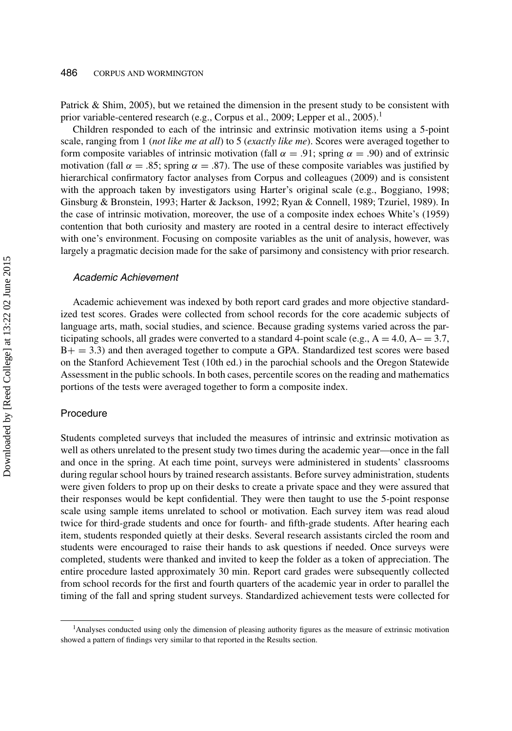Patrick & Shim, 2005), but we retained the dimension in the present study to be consistent with prior variable-centered research (e.g., Corpus et al., 2009; Lepper et al., 2005).<sup>1</sup>

Children responded to each of the intrinsic and extrinsic motivation items using a 5-point scale, ranging from 1 (*not like me at all*) to 5 (*exactly like me*). Scores were averaged together to form composite variables of intrinsic motivation (fall  $\alpha = .91$ ; spring  $\alpha = .90$ ) and of extrinsic motivation (fall  $\alpha = .85$ ; spring  $\alpha = .87$ ). The use of these composite variables was justified by hierarchical confirmatory factor analyses from Corpus and colleagues (2009) and is consistent with the approach taken by investigators using Harter's original scale (e.g., Boggiano, 1998; Ginsburg & Bronstein, 1993; Harter & Jackson, 1992; Ryan & Connell, 1989; Tzuriel, 1989). In the case of intrinsic motivation, moreover, the use of a composite index echoes White's (1959) contention that both curiosity and mastery are rooted in a central desire to interact effectively with one's environment. Focusing on composite variables as the unit of analysis, however, was largely a pragmatic decision made for the sake of parsimony and consistency with prior research.

#### *Academic Achievement*

Academic achievement was indexed by both report card grades and more objective standardized test scores. Grades were collected from school records for the core academic subjects of language arts, math, social studies, and science. Because grading systems varied across the participating schools, all grades were converted to a standard 4-point scale (e.g.,  $A = 4.0$ ,  $A = 3.7$ ,  $B<sub>+</sub> = 3.3$ ) and then averaged together to compute a GPA. Standardized test scores were based on the Stanford Achievement Test (10th ed.) in the parochial schools and the Oregon Statewide Assessment in the public schools. In both cases, percentile scores on the reading and mathematics portions of the tests were averaged together to form a composite index.

#### Procedure

Students completed surveys that included the measures of intrinsic and extrinsic motivation as well as others unrelated to the present study two times during the academic year—once in the fall and once in the spring. At each time point, surveys were administered in students' classrooms during regular school hours by trained research assistants. Before survey administration, students were given folders to prop up on their desks to create a private space and they were assured that their responses would be kept confidential. They were then taught to use the 5-point response scale using sample items unrelated to school or motivation. Each survey item was read aloud twice for third-grade students and once for fourth- and fifth-grade students. After hearing each item, students responded quietly at their desks. Several research assistants circled the room and students were encouraged to raise their hands to ask questions if needed. Once surveys were completed, students were thanked and invited to keep the folder as a token of appreciation. The entire procedure lasted approximately 30 min. Report card grades were subsequently collected from school records for the first and fourth quarters of the academic year in order to parallel the timing of the fall and spring student surveys. Standardized achievement tests were collected for

<sup>&</sup>lt;sup>1</sup>Analyses conducted using only the dimension of pleasing authority figures as the measure of extrinsic motivation showed a pattern of findings very similar to that reported in the Results section.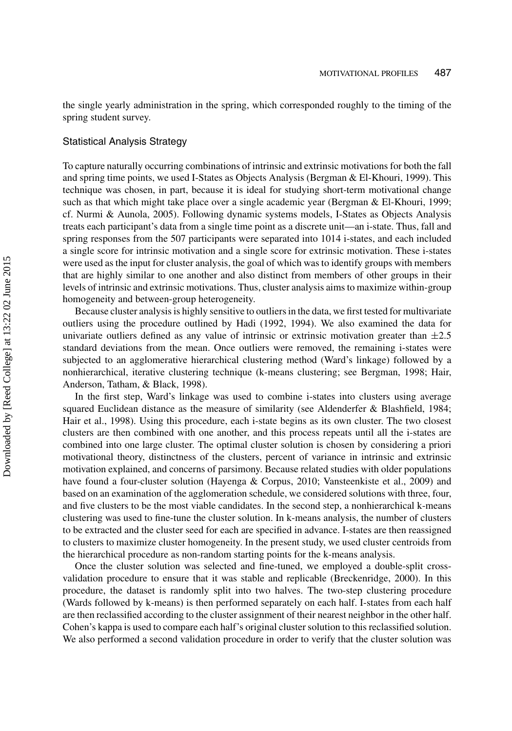the single yearly administration in the spring, which corresponded roughly to the timing of the spring student survey.

#### Statistical Analysis Strategy

To capture naturally occurring combinations of intrinsic and extrinsic motivations for both the fall and spring time points, we used I-States as Objects Analysis (Bergman & El-Khouri, 1999). This technique was chosen, in part, because it is ideal for studying short-term motivational change such as that which might take place over a single academic year (Bergman & El-Khouri, 1999; cf. Nurmi & Aunola, 2005). Following dynamic systems models, I-States as Objects Analysis treats each participant's data from a single time point as a discrete unit—an i-state. Thus, fall and spring responses from the 507 participants were separated into 1014 i-states, and each included a single score for intrinsic motivation and a single score for extrinsic motivation. These i-states were used as the input for cluster analysis, the goal of which was to identify groups with members that are highly similar to one another and also distinct from members of other groups in their levels of intrinsic and extrinsic motivations. Thus, cluster analysis aims to maximize within-group homogeneity and between-group heterogeneity.

Because cluster analysis is highly sensitive to outliers in the data, we first tested for multivariate outliers using the procedure outlined by Hadi (1992, 1994). We also examined the data for univariate outliers defined as any value of intrinsic or extrinsic motivation greater than  $\pm 2.5$ standard deviations from the mean. Once outliers were removed, the remaining i-states were subjected to an agglomerative hierarchical clustering method (Ward's linkage) followed by a nonhierarchical, iterative clustering technique (k-means clustering; see Bergman, 1998; Hair, Anderson, Tatham, & Black, 1998).

In the first step, Ward's linkage was used to combine i-states into clusters using average squared Euclidean distance as the measure of similarity (see Aldenderfer & Blashfield, 1984; Hair et al., 1998). Using this procedure, each i-state begins as its own cluster. The two closest clusters are then combined with one another, and this process repeats until all the i-states are combined into one large cluster. The optimal cluster solution is chosen by considering a priori motivational theory, distinctness of the clusters, percent of variance in intrinsic and extrinsic motivation explained, and concerns of parsimony. Because related studies with older populations have found a four-cluster solution (Hayenga & Corpus, 2010; Vansteenkiste et al., 2009) and based on an examination of the agglomeration schedule, we considered solutions with three, four, and five clusters to be the most viable candidates. In the second step, a nonhierarchical k-means clustering was used to fine-tune the cluster solution. In k-means analysis, the number of clusters to be extracted and the cluster seed for each are specified in advance. I-states are then reassigned to clusters to maximize cluster homogeneity. In the present study, we used cluster centroids from the hierarchical procedure as non-random starting points for the k-means analysis.

Once the cluster solution was selected and fine-tuned, we employed a double-split crossvalidation procedure to ensure that it was stable and replicable (Breckenridge, 2000). In this procedure, the dataset is randomly split into two halves. The two-step clustering procedure (Wards followed by k-means) is then performed separately on each half. I-states from each half are then reclassified according to the cluster assignment of their nearest neighbor in the other half. Cohen's kappa is used to compare each half's original cluster solution to this reclassified solution. We also performed a second validation procedure in order to verify that the cluster solution was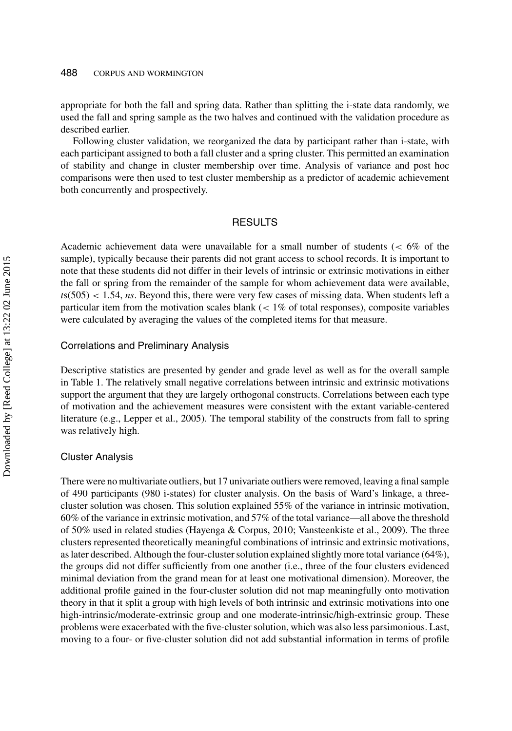appropriate for both the fall and spring data. Rather than splitting the i-state data randomly, we used the fall and spring sample as the two halves and continued with the validation procedure as described earlier.

Following cluster validation, we reorganized the data by participant rather than i-state, with each participant assigned to both a fall cluster and a spring cluster. This permitted an examination of stability and change in cluster membership over time. Analysis of variance and post hoc comparisons were then used to test cluster membership as a predictor of academic achievement both concurrently and prospectively.

#### **RESULTS**

Academic achievement data were unavailable for a small number of students  $(< 6\%$  of the sample), typically because their parents did not grant access to school records. It is important to note that these students did not differ in their levels of intrinsic or extrinsic motivations in either the fall or spring from the remainder of the sample for whom achievement data were available, *t*s(505) < 1.54, *ns*. Beyond this, there were very few cases of missing data. When students left a particular item from the motivation scales blank  $\ll 1\%$  of total responses), composite variables were calculated by averaging the values of the completed items for that measure.

#### Correlations and Preliminary Analysis

Descriptive statistics are presented by gender and grade level as well as for the overall sample in Table 1. The relatively small negative correlations between intrinsic and extrinsic motivations support the argument that they are largely orthogonal constructs. Correlations between each type of motivation and the achievement measures were consistent with the extant variable-centered literature (e.g., Lepper et al., 2005). The temporal stability of the constructs from fall to spring was relatively high.

#### Cluster Analysis

There were no multivariate outliers, but 17 univariate outliers were removed, leaving a final sample of 490 participants (980 i-states) for cluster analysis. On the basis of Ward's linkage, a threecluster solution was chosen. This solution explained 55% of the variance in intrinsic motivation, 60% of the variance in extrinsic motivation, and 57% of the total variance—all above the threshold of 50% used in related studies (Hayenga & Corpus, 2010; Vansteenkiste et al., 2009). The three clusters represented theoretically meaningful combinations of intrinsic and extrinsic motivations, as later described. Although the four-cluster solution explained slightly more total variance (64%), the groups did not differ sufficiently from one another (i.e., three of the four clusters evidenced minimal deviation from the grand mean for at least one motivational dimension). Moreover, the additional profile gained in the four-cluster solution did not map meaningfully onto motivation theory in that it split a group with high levels of both intrinsic and extrinsic motivations into one high-intrinsic/moderate-extrinsic group and one moderate-intrinsic/high-extrinsic group. These problems were exacerbated with the five-cluster solution, which was also less parsimonious. Last, moving to a four- or five-cluster solution did not add substantial information in terms of profile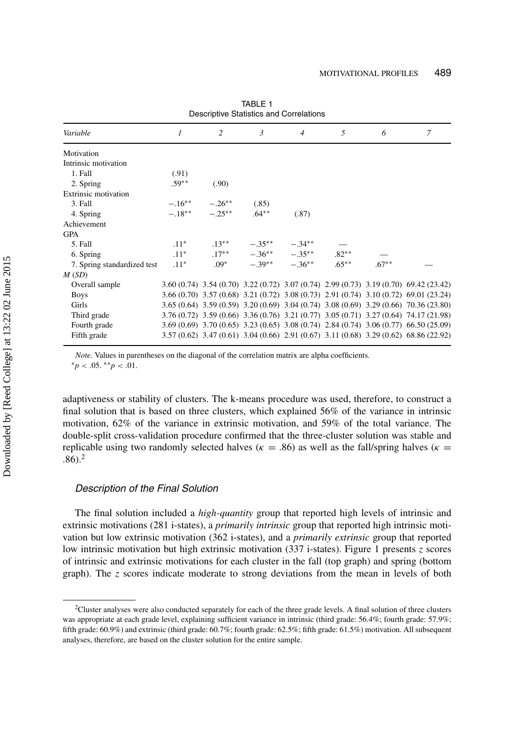| Descriptive Statistics and Correlations |           |                    |                            |                         |          |         |                                                                                       |  |  |  |
|-----------------------------------------|-----------|--------------------|----------------------------|-------------------------|----------|---------|---------------------------------------------------------------------------------------|--|--|--|
| Variable                                | 1         | $\overline{2}$     | $\mathfrak{Z}$             | $\overline{4}$          | 5        | 6       | 7                                                                                     |  |  |  |
| Motivation                              |           |                    |                            |                         |          |         |                                                                                       |  |  |  |
| Intrinsic motivation                    |           |                    |                            |                         |          |         |                                                                                       |  |  |  |
| 1. Fall                                 | (.91)     |                    |                            |                         |          |         |                                                                                       |  |  |  |
| 2. Spring                               | $.59**$   | (.90)              |                            |                         |          |         |                                                                                       |  |  |  |
| <b>Extrinsic motivation</b>             |           |                    |                            |                         |          |         |                                                                                       |  |  |  |
| 3. Fall                                 |           | $-.16***$ $-.26**$ | (.85)                      |                         |          |         |                                                                                       |  |  |  |
| 4. Spring                               | $-.18***$ | $-.25***$          | $.64***$                   | (.87)                   |          |         |                                                                                       |  |  |  |
| Achievement                             |           |                    |                            |                         |          |         |                                                                                       |  |  |  |
| GPA                                     |           |                    |                            |                         |          |         |                                                                                       |  |  |  |
| 5. Fall                                 | $.11*$    |                    | $.13***$ $-.35**$ $-.34**$ |                         |          |         |                                                                                       |  |  |  |
| 6. Spring                               | $.11*$    | $.17***$           |                            | $-.36***$ $-.35**$      | $.82**$  |         |                                                                                       |  |  |  |
| 7. Spring standardized test             | $.11*$    | $.09*$             |                            | $-.39^{**}$ $-.36^{**}$ | $.65***$ | $.67**$ |                                                                                       |  |  |  |
| M(SD)                                   |           |                    |                            |                         |          |         |                                                                                       |  |  |  |
| Overall sample                          |           |                    |                            |                         |          |         | 3.60 (0.74) 3.54 (0.70) 3.22 (0.72) 3.07 (0.74) 2.99 (0.73) 3.19 (0.70) 69.42 (23.42) |  |  |  |
| <b>Boys</b>                             |           |                    |                            |                         |          |         | 3.66 (0.70) 3.57 (0.68) 3.21 (0.72) 3.08 (0.73) 2.91 (0.74) 3.10 (0.72) 69.01 (23.24) |  |  |  |
| Girls                                   |           |                    |                            |                         |          |         | 3.65 (0.64) 3.59 (0.59) 3.20 (0.69) 3.04 (0.74) 3.08 (0.69) 3.29 (0.66) 70.36 (23.80) |  |  |  |
| Third grade                             |           |                    |                            |                         |          |         | 3.76 (0.72) 3.59 (0.66) 3.36 (0.76) 3.21 (0.77) 3.05 (0.71) 3.27 (0.64) 74.17 (21.98) |  |  |  |
| Fourth grade                            |           |                    |                            |                         |          |         | 3.69 (0.69) 3.70 (0.65) 3.23 (0.65) 3.08 (0.74) 2.84 (0.74) 3.06 (0.77) 66.50 (25.09) |  |  |  |
| Fifth grade                             |           |                    |                            |                         |          |         | 3.57 (0.62) 3.47 (0.61) 3.04 (0.66) 2.91 (0.67) 3.11 (0.68) 3.29 (0.62) 68.86 (22.92) |  |  |  |
|                                         |           |                    |                            |                         |          |         |                                                                                       |  |  |  |

TABLE 1 Descriptive Statistics and Correlations

*Note.* Values in parentheses on the diagonal of the correlation matrix are alpha coefficients. ∗*p* < .05. ∗∗*p* < .01.

adaptiveness or stability of clusters. The k-means procedure was used, therefore, to construct a final solution that is based on three clusters, which explained 56% of the variance in intrinsic motivation, 62% of the variance in extrinsic motivation, and 59% of the total variance. The double-split cross-validation procedure confirmed that the three-cluster solution was stable and replicable using two randomly selected halves ( $\kappa = .86$ ) as well as the fall/spring halves ( $\kappa =$  $.86.2$ 

#### *Description of the Final Solution*

The final solution included a *high-quantity* group that reported high levels of intrinsic and extrinsic motivations (281 i-states), a *primarily intrinsic* group that reported high intrinsic motivation but low extrinsic motivation (362 i-states), and a *primarily extrinsic* group that reported low intrinsic motivation but high extrinsic motivation (337 i-states). Figure 1 presents *z* scores of intrinsic and extrinsic motivations for each cluster in the fall (top graph) and spring (bottom graph). The *z* scores indicate moderate to strong deviations from the mean in levels of both

<sup>&</sup>lt;sup>2</sup>Cluster analyses were also conducted separately for each of the three grade levels. A final solution of three clusters was appropriate at each grade level, explaining sufficient variance in intrinsic (third grade: 56.4%; fourth grade: 57.9%; fifth grade: 60.9%) and extrinsic (third grade: 60.7%; fourth grade: 62.5%; fifth grade: 61.5%) motivation. All subsequent analyses, therefore, are based on the cluster solution for the entire sample.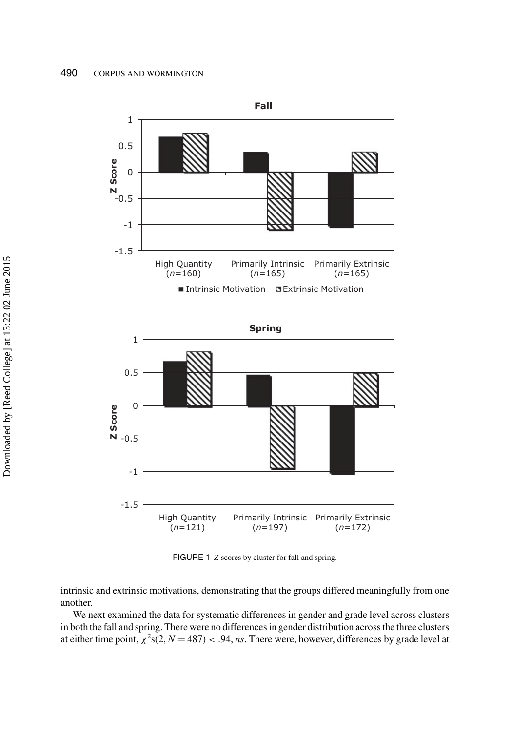

FIGURE 1 *Z* scores by cluster for fall and spring.

intrinsic and extrinsic motivations, demonstrating that the groups differed meaningfully from one another.

We next examined the data for systematic differences in gender and grade level across clusters in both the fall and spring. There were no differences in gender distribution across the three clusters at either time point,  $\chi^2 s(2, N = 487) < .94$ , *ns*. There were, however, differences by grade level at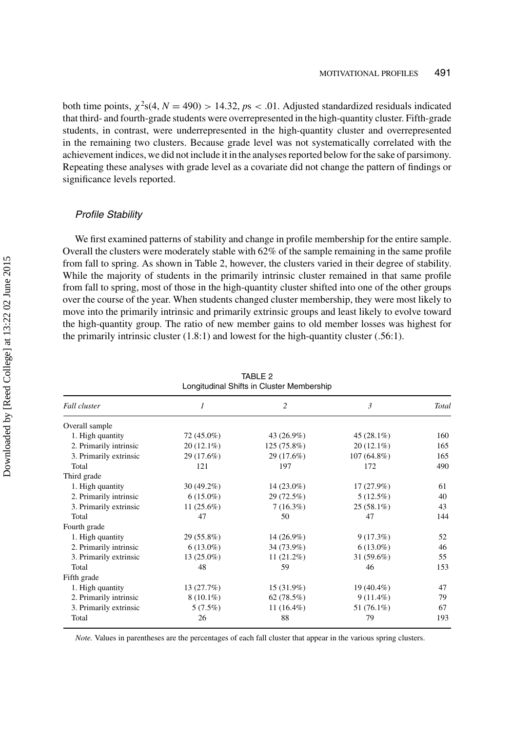both time points,  $\chi^2 s(4, N = 490) > 14.32$ ,  $ps < .01$ . Adjusted standardized residuals indicated that third- and fourth-grade students were overrepresented in the high-quantity cluster. Fifth-grade students, in contrast, were underrepresented in the high-quantity cluster and overrepresented in the remaining two clusters. Because grade level was not systematically correlated with the achievement indices, we did not include it in the analyses reported below for the sake of parsimony. Repeating these analyses with grade level as a covariate did not change the pattern of findings or significance levels reported.

#### *Profile Stability*

We first examined patterns of stability and change in profile membership for the entire sample. Overall the clusters were moderately stable with 62% of the sample remaining in the same profile from fall to spring. As shown in Table 2, however, the clusters varied in their degree of stability. While the majority of students in the primarily intrinsic cluster remained in that same profile from fall to spring, most of those in the high-quantity cluster shifted into one of the other groups over the course of the year. When students changed cluster membership, they were most likely to move into the primarily intrinsic and primarily extrinsic groups and least likely to evolve toward the high-quantity group. The ratio of new member gains to old member losses was highest for the primarily intrinsic cluster (1.8:1) and lowest for the high-quantity cluster (.56:1).

| Longitudinal Shifts in Cluster Membership |              |                |                |       |  |  |  |  |  |
|-------------------------------------------|--------------|----------------|----------------|-------|--|--|--|--|--|
| <b>Fall cluster</b>                       | 1            | $\overline{2}$ | $\mathfrak{Z}$ | Total |  |  |  |  |  |
| Overall sample                            |              |                |                |       |  |  |  |  |  |
| 1. High quantity                          | 72 (45.0%)   | 43 (26.9%)     | $45(28.1\%)$   | 160   |  |  |  |  |  |
| 2. Primarily intrinsic                    | $20(12.1\%)$ | 125(75.8%)     | $20(12.1\%)$   | 165   |  |  |  |  |  |
| 3. Primarily extrinsic                    | 29 (17.6%)   | 29 (17.6%)     | $107(64.8\%)$  | 165   |  |  |  |  |  |
| Total                                     | 121          | 197            | 172            | 490   |  |  |  |  |  |
| Third grade                               |              |                |                |       |  |  |  |  |  |
| 1. High quantity                          | $30(49.2\%)$ | 14 (23.0%)     | $17(27.9\%)$   | 61    |  |  |  |  |  |
| 2. Primarily intrinsic                    | $6(15.0\%)$  | 29 (72.5%)     | $5(12.5\%)$    | 40    |  |  |  |  |  |
| 3. Primarily extrinsic                    | $11(25.6\%)$ | $7(16.3\%)$    | $25(58.1\%)$   | 43    |  |  |  |  |  |
| Total                                     | 47           | 50             | 47             | 144   |  |  |  |  |  |
| Fourth grade                              |              |                |                |       |  |  |  |  |  |
| 1. High quantity                          | 29 (55.8%)   | $14(26.9\%)$   | 9(17.3%)       | 52    |  |  |  |  |  |
| 2. Primarily intrinsic                    | $6(13.0\%)$  | 34 (73.9%)     | $6(13.0\%)$    | 46    |  |  |  |  |  |
| 3. Primarily extrinsic                    | 13 (25.0%)   | $11(21.2\%)$   | 31 (59.6%)     | 55    |  |  |  |  |  |
| Total                                     | 48           | 59             | 46             | 153   |  |  |  |  |  |
| Fifth grade                               |              |                |                |       |  |  |  |  |  |
| 1. High quantity                          | 13 (27.7%)   | 15 (31.9%)     | 19 (40.4%)     | 47    |  |  |  |  |  |
| 2. Primarily intrinsic                    | $8(10.1\%)$  | 62(78.5%)      | $9(11.4\%)$    | 79    |  |  |  |  |  |
| 3. Primarily extrinsic                    | 5(7.5%)      | 11 $(16.4\%)$  | 51 (76.1%)     | 67    |  |  |  |  |  |
| Total                                     | 26           | 88             | 79             | 193   |  |  |  |  |  |

TABLE 2

*Note.* Values in parentheses are the percentages of each fall cluster that appear in the various spring clusters.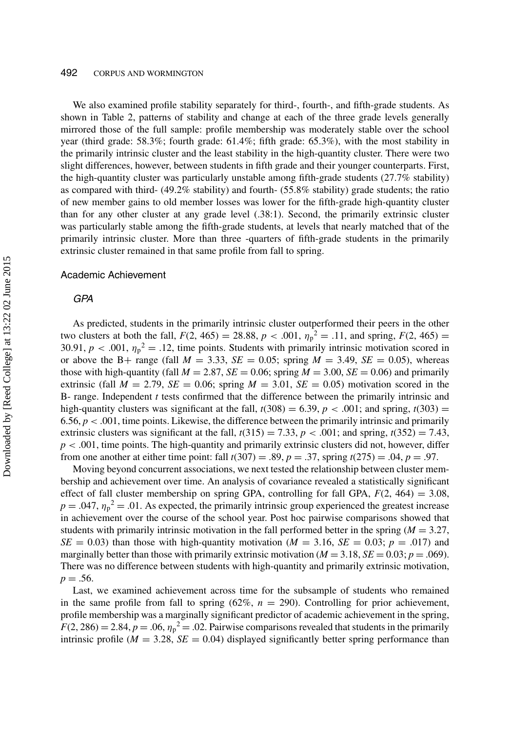#### 492 CORPUS AND WORMINGTON

We also examined profile stability separately for third-, fourth-, and fifth-grade students. As shown in Table 2, patterns of stability and change at each of the three grade levels generally mirrored those of the full sample: profile membership was moderately stable over the school year (third grade: 58.3%; fourth grade: 61.4%; fifth grade: 65.3%), with the most stability in the primarily intrinsic cluster and the least stability in the high-quantity cluster. There were two slight differences, however, between students in fifth grade and their younger counterparts. First, the high-quantity cluster was particularly unstable among fifth-grade students (27.7% stability) as compared with third- (49.2% stability) and fourth- (55.8% stability) grade students; the ratio of new member gains to old member losses was lower for the fifth-grade high-quantity cluster than for any other cluster at any grade level (.38:1). Second, the primarily extrinsic cluster was particularly stable among the fifth-grade students, at levels that nearly matched that of the primarily intrinsic cluster. More than three -quarters of fifth-grade students in the primarily extrinsic cluster remained in that same profile from fall to spring.

#### Academic Achievement

#### *GPA*

As predicted, students in the primarily intrinsic cluster outperformed their peers in the other two clusters at both the fall,  $F(2, 465) = 28.88$ ,  $p < .001$ ,  $\eta_p^2 = .11$ , and spring,  $F(2, 465) =$ 30.91,  $p < .001$ ,  $\eta_p^2 = .12$ , time points. Students with primarily intrinsic motivation scored in or above the B+ range (fall  $M = 3.33$ ,  $SE = 0.05$ ; spring  $M = 3.49$ ,  $SE = 0.05$ ), whereas those with high-quantity (fall  $M = 2.87$ ,  $SE = 0.06$ ; spring  $M = 3.00$ ,  $SE = 0.06$ ) and primarily extrinsic (fall  $M = 2.79$ ,  $SE = 0.06$ ; spring  $M = 3.01$ ,  $SE = 0.05$ ) motivation scored in the B- range. Independent *t* tests confirmed that the difference between the primarily intrinsic and high-quantity clusters was significant at the fall,  $t(308) = 6.39$ ,  $p < .001$ ; and spring,  $t(303) =$ 6.56,  $p < .001$ , time points. Likewise, the difference between the primarily intrinsic and primarily extrinsic clusters was significant at the fall,  $t(315) = 7.33$ ,  $p < .001$ ; and spring,  $t(352) = 7.43$ , *p* < .001, time points. The high-quantity and primarily extrinsic clusters did not, however, differ from one another at either time point: fall  $t(307) = .89$ ,  $p = .37$ , spring  $t(275) = .04$ ,  $p = .97$ .

Moving beyond concurrent associations, we next tested the relationship between cluster membership and achievement over time. An analysis of covariance revealed a statistically significant effect of fall cluster membership on spring GPA, controlling for fall GPA,  $F(2, 464) = 3.08$ ,  $p = .047$ ,  $\eta_p^2 = .01$ . As expected, the primarily intrinsic group experienced the greatest increase in achievement over the course of the school year. Post hoc pairwise comparisons showed that students with primarily intrinsic motivation in the fall performed better in the spring  $(M = 3.27)$ ,  $SE = 0.03$ ) than those with high-quantity motivation ( $M = 3.16$ ,  $SE = 0.03$ ;  $p = .017$ ) and marginally better than those with primarily extrinsic motivation ( $M = 3.18$ ,  $SE = 0.03$ ;  $p = .069$ ). There was no difference between students with high-quantity and primarily extrinsic motivation,  $p = .56$ .

Last, we examined achievement across time for the subsample of students who remained in the same profile from fall to spring  $(62\%, n = 290)$ . Controlling for prior achievement, profile membership was a marginally significant predictor of academic achievement in the spring,  $F(2, 286) = 2.84$ ,  $p = .06$ ,  $\eta_p^2 = .02$ . Pairwise comparisons revealed that students in the primarily intrinsic profile ( $M = 3.28$ ,  $SE = 0.04$ ) displayed significantly better spring performance than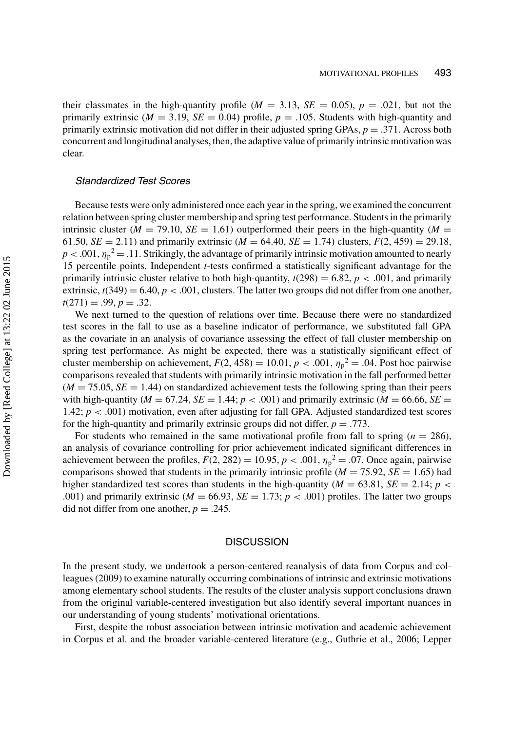their classmates in the high-quantity profile ( $M = 3.13$ ,  $SE = 0.05$ ),  $p = .021$ , but not the primarily extrinsic ( $M = 3.19$ ,  $SE = 0.04$ ) profile,  $p = .105$ . Students with high-quantity and primarily extrinsic motivation did not differ in their adjusted spring GPAs, *p* = .371. Across both concurrent and longitudinal analyses, then, the adaptive value of primarily intrinsic motivation was clear.

#### *Standardized Test Scores*

Because tests were only administered once each year in the spring, we examined the concurrent relation between spring cluster membership and spring test performance. Students in the primarily intrinsic cluster ( $M = 79.10$ ,  $SE = 1.61$ ) outperformed their peers in the high-quantity ( $M =$ 61.50,  $SE = 2.11$ ) and primarily extrinsic ( $M = 64.40$ ,  $SE = 1.74$ ) clusters,  $F(2, 459) = 29.18$ ,  $p < .001$ ,  $\eta_p^2 = .11$ . Strikingly, the advantage of primarily intrinsic motivation amounted to nearly 15 percentile points. Independent *t*-tests confirmed a statistically significant advantage for the primarily intrinsic cluster relative to both high-quantity,  $t(298) = 6.82$ ,  $p < .001$ , and primarily extrinsic,  $t(349) = 6.40$ ,  $p < .001$ , clusters. The latter two groups did not differ from one another,  $t(271) = .99, p = .32.$ 

We next turned to the question of relations over time. Because there were no standardized test scores in the fall to use as a baseline indicator of performance, we substituted fall GPA as the covariate in an analysis of covariance assessing the effect of fall cluster membership on spring test performance. As might be expected, there was a statistically significant effect of cluster membership on achievement,  $F(2, 458) = 10.01$ ,  $p < .001$ ,  $\eta_p^2 = .04$ . Post hoc pairwise comparisons revealed that students with primarily intrinsic motivation in the fall performed better  $(M = 75.05, SE = 1.44)$  on standardized achievement tests the following spring than their peers with high-quantity ( $M = 67.24$ ,  $SE = 1.44$ ;  $p < .001$ ) and primarily extrinsic ( $M = 66.66$ ,  $SE =$ 1.42;  $p < .001$ ) motivation, even after adjusting for fall GPA. Adjusted standardized test scores for the high-quantity and primarily extrinsic groups did not differ,  $p = .773$ .

For students who remained in the same motivational profile from fall to spring  $(n = 286)$ , an analysis of covariance controlling for prior achievement indicated significant differences in achievement between the profiles,  $F(2, 282) = 10.95$ ,  $p < .001$ ,  $\eta_p^2 = .07$ . Once again, pairwise comparisons showed that students in the primarily intrinsic profile  $(M = 75.92, SE = 1.65)$  had higher standardized test scores than students in the high-quantity ( $M = 63.81$ ,  $SE = 2.14$ ;  $p \le$ .001) and primarily extrinsic ( $M = 66.93$ ,  $SE = 1.73$ ;  $p < .001$ ) profiles. The latter two groups did not differ from one another,  $p = .245$ .

#### **DISCUSSION**

In the present study, we undertook a person-centered reanalysis of data from Corpus and colleagues (2009) to examine naturally occurring combinations of intrinsic and extrinsic motivations among elementary school students. The results of the cluster analysis support conclusions drawn from the original variable-centered investigation but also identify several important nuances in our understanding of young students' motivational orientations.

First, despite the robust association between intrinsic motivation and academic achievement in Corpus et al. and the broader variable-centered literature (e.g., Guthrie et al., 2006; Lepper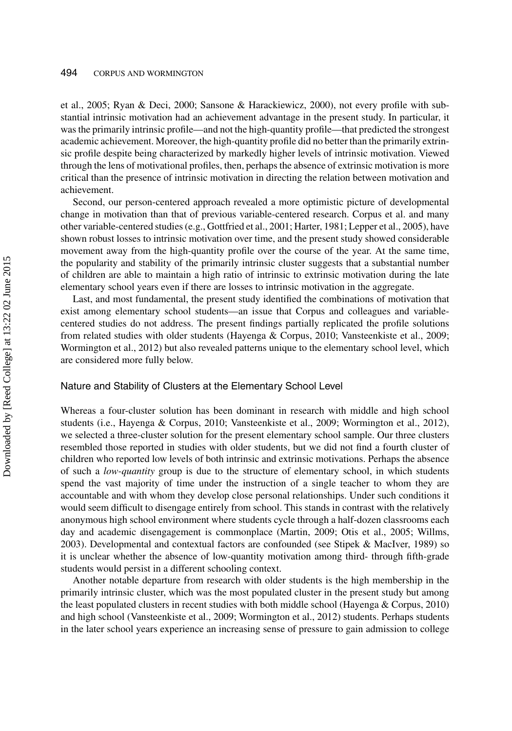et al., 2005; Ryan & Deci, 2000; Sansone & Harackiewicz, 2000), not every profile with substantial intrinsic motivation had an achievement advantage in the present study. In particular, it was the primarily intrinsic profile—and not the high-quantity profile—that predicted the strongest academic achievement. Moreover, the high-quantity profile did no better than the primarily extrinsic profile despite being characterized by markedly higher levels of intrinsic motivation. Viewed through the lens of motivational profiles, then, perhaps the absence of extrinsic motivation is more critical than the presence of intrinsic motivation in directing the relation between motivation and achievement.

Second, our person-centered approach revealed a more optimistic picture of developmental change in motivation than that of previous variable-centered research. Corpus et al. and many other variable-centered studies (e.g., Gottfried et al., 2001; Harter, 1981; Lepper et al., 2005), have shown robust losses to intrinsic motivation over time, and the present study showed considerable movement away from the high-quantity profile over the course of the year. At the same time, the popularity and stability of the primarily intrinsic cluster suggests that a substantial number of children are able to maintain a high ratio of intrinsic to extrinsic motivation during the late elementary school years even if there are losses to intrinsic motivation in the aggregate.

Last, and most fundamental, the present study identified the combinations of motivation that exist among elementary school students—an issue that Corpus and colleagues and variablecentered studies do not address. The present findings partially replicated the profile solutions from related studies with older students (Hayenga & Corpus, 2010; Vansteenkiste et al., 2009; Wormington et al., 2012) but also revealed patterns unique to the elementary school level, which are considered more fully below.

#### Nature and Stability of Clusters at the Elementary School Level

Whereas a four-cluster solution has been dominant in research with middle and high school students (i.e., Hayenga & Corpus, 2010; Vansteenkiste et al., 2009; Wormington et al., 2012), we selected a three-cluster solution for the present elementary school sample. Our three clusters resembled those reported in studies with older students, but we did not find a fourth cluster of children who reported low levels of both intrinsic and extrinsic motivations. Perhaps the absence of such a *low-quantity* group is due to the structure of elementary school, in which students spend the vast majority of time under the instruction of a single teacher to whom they are accountable and with whom they develop close personal relationships. Under such conditions it would seem difficult to disengage entirely from school. This stands in contrast with the relatively anonymous high school environment where students cycle through a half-dozen classrooms each day and academic disengagement is commonplace (Martin, 2009; Otis et al., 2005; Willms, 2003). Developmental and contextual factors are confounded (see Stipek & MacIver, 1989) so it is unclear whether the absence of low-quantity motivation among third- through fifth-grade students would persist in a different schooling context.

Another notable departure from research with older students is the high membership in the primarily intrinsic cluster, which was the most populated cluster in the present study but among the least populated clusters in recent studies with both middle school (Hayenga & Corpus, 2010) and high school (Vansteenkiste et al., 2009; Wormington et al., 2012) students. Perhaps students in the later school years experience an increasing sense of pressure to gain admission to college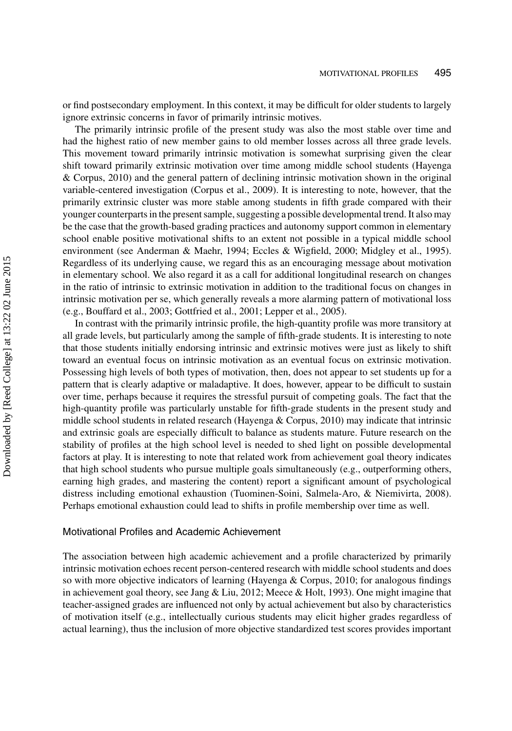or find postsecondary employment. In this context, it may be difficult for older students to largely ignore extrinsic concerns in favor of primarily intrinsic motives.

The primarily intrinsic profile of the present study was also the most stable over time and had the highest ratio of new member gains to old member losses across all three grade levels. This movement toward primarily intrinsic motivation is somewhat surprising given the clear shift toward primarily extrinsic motivation over time among middle school students (Hayenga & Corpus, 2010) and the general pattern of declining intrinsic motivation shown in the original variable-centered investigation (Corpus et al., 2009). It is interesting to note, however, that the primarily extrinsic cluster was more stable among students in fifth grade compared with their younger counterparts in the present sample, suggesting a possible developmental trend. It also may be the case that the growth-based grading practices and autonomy support common in elementary school enable positive motivational shifts to an extent not possible in a typical middle school environment (see Anderman & Maehr, 1994; Eccles & Wigfield, 2000; Midgley et al., 1995). Regardless of its underlying cause, we regard this as an encouraging message about motivation in elementary school. We also regard it as a call for additional longitudinal research on changes in the ratio of intrinsic to extrinsic motivation in addition to the traditional focus on changes in intrinsic motivation per se, which generally reveals a more alarming pattern of motivational loss (e.g., Bouffard et al., 2003; Gottfried et al., 2001; Lepper et al., 2005).

In contrast with the primarily intrinsic profile, the high-quantity profile was more transitory at all grade levels, but particularly among the sample of fifth-grade students. It is interesting to note that those students initially endorsing intrinsic and extrinsic motives were just as likely to shift toward an eventual focus on intrinsic motivation as an eventual focus on extrinsic motivation. Possessing high levels of both types of motivation, then, does not appear to set students up for a pattern that is clearly adaptive or maladaptive. It does, however, appear to be difficult to sustain over time, perhaps because it requires the stressful pursuit of competing goals. The fact that the high-quantity profile was particularly unstable for fifth-grade students in the present study and middle school students in related research (Hayenga & Corpus, 2010) may indicate that intrinsic and extrinsic goals are especially difficult to balance as students mature. Future research on the stability of profiles at the high school level is needed to shed light on possible developmental factors at play. It is interesting to note that related work from achievement goal theory indicates that high school students who pursue multiple goals simultaneously (e.g., outperforming others, earning high grades, and mastering the content) report a significant amount of psychological distress including emotional exhaustion (Tuominen-Soini, Salmela-Aro, & Niemivirta, 2008). Perhaps emotional exhaustion could lead to shifts in profile membership over time as well.

#### Motivational Profiles and Academic Achievement

The association between high academic achievement and a profile characterized by primarily intrinsic motivation echoes recent person-centered research with middle school students and does so with more objective indicators of learning (Hayenga & Corpus, 2010; for analogous findings in achievement goal theory, see Jang & Liu, 2012; Meece & Holt, 1993). One might imagine that teacher-assigned grades are influenced not only by actual achievement but also by characteristics of motivation itself (e.g., intellectually curious students may elicit higher grades regardless of actual learning), thus the inclusion of more objective standardized test scores provides important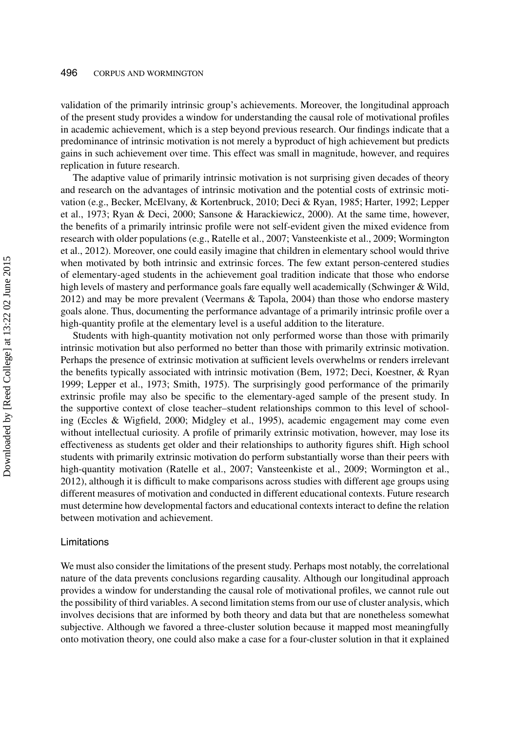validation of the primarily intrinsic group's achievements. Moreover, the longitudinal approach of the present study provides a window for understanding the causal role of motivational profiles in academic achievement, which is a step beyond previous research. Our findings indicate that a predominance of intrinsic motivation is not merely a byproduct of high achievement but predicts gains in such achievement over time. This effect was small in magnitude, however, and requires replication in future research.

The adaptive value of primarily intrinsic motivation is not surprising given decades of theory and research on the advantages of intrinsic motivation and the potential costs of extrinsic motivation (e.g., Becker, McElvany, & Kortenbruck, 2010; Deci & Ryan, 1985; Harter, 1992; Lepper et al., 1973; Ryan & Deci, 2000; Sansone & Harackiewicz, 2000). At the same time, however, the benefits of a primarily intrinsic profile were not self-evident given the mixed evidence from research with older populations (e.g., Ratelle et al., 2007; Vansteenkiste et al., 2009; Wormington et al., 2012). Moreover, one could easily imagine that children in elementary school would thrive when motivated by both intrinsic and extrinsic forces. The few extant person-centered studies of elementary-aged students in the achievement goal tradition indicate that those who endorse high levels of mastery and performance goals fare equally well academically (Schwinger & Wild, 2012) and may be more prevalent (Veermans & Tapola, 2004) than those who endorse mastery goals alone. Thus, documenting the performance advantage of a primarily intrinsic profile over a high-quantity profile at the elementary level is a useful addition to the literature.

Students with high-quantity motivation not only performed worse than those with primarily intrinsic motivation but also performed no better than those with primarily extrinsic motivation. Perhaps the presence of extrinsic motivation at sufficient levels overwhelms or renders irrelevant the benefits typically associated with intrinsic motivation (Bem, 1972; Deci, Koestner, & Ryan 1999; Lepper et al., 1973; Smith, 1975). The surprisingly good performance of the primarily extrinsic profile may also be specific to the elementary-aged sample of the present study. In the supportive context of close teacher–student relationships common to this level of schooling (Eccles & Wigfield, 2000; Midgley et al., 1995), academic engagement may come even without intellectual curiosity. A profile of primarily extrinsic motivation, however, may lose its effectiveness as students get older and their relationships to authority figures shift. High school students with primarily extrinsic motivation do perform substantially worse than their peers with high-quantity motivation (Ratelle et al., 2007; Vansteenkiste et al., 2009; Wormington et al., 2012), although it is difficult to make comparisons across studies with different age groups using different measures of motivation and conducted in different educational contexts. Future research must determine how developmental factors and educational contexts interact to define the relation between motivation and achievement.

#### Limitations

We must also consider the limitations of the present study. Perhaps most notably, the correlational nature of the data prevents conclusions regarding causality. Although our longitudinal approach provides a window for understanding the causal role of motivational profiles, we cannot rule out the possibility of third variables. A second limitation stems from our use of cluster analysis, which involves decisions that are informed by both theory and data but that are nonetheless somewhat subjective. Although we favored a three-cluster solution because it mapped most meaningfully onto motivation theory, one could also make a case for a four-cluster solution in that it explained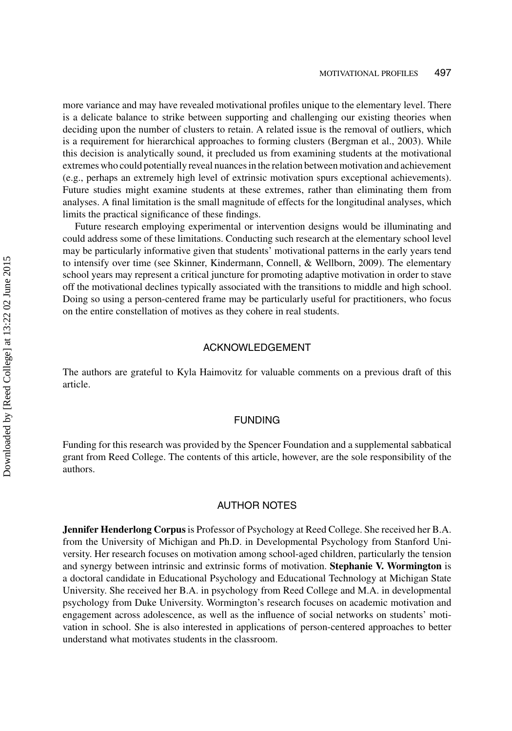more variance and may have revealed motivational profiles unique to the elementary level. There is a delicate balance to strike between supporting and challenging our existing theories when deciding upon the number of clusters to retain. A related issue is the removal of outliers, which is a requirement for hierarchical approaches to forming clusters (Bergman et al., 2003). While this decision is analytically sound, it precluded us from examining students at the motivational extremes who could potentially reveal nuances in the relation between motivation and achievement (e.g., perhaps an extremely high level of extrinsic motivation spurs exceptional achievements). Future studies might examine students at these extremes, rather than eliminating them from analyses. A final limitation is the small magnitude of effects for the longitudinal analyses, which limits the practical significance of these findings.

Future research employing experimental or intervention designs would be illuminating and could address some of these limitations. Conducting such research at the elementary school level may be particularly informative given that students' motivational patterns in the early years tend to intensify over time (see Skinner, Kindermann, Connell, & Wellborn, 2009). The elementary school years may represent a critical juncture for promoting adaptive motivation in order to stave off the motivational declines typically associated with the transitions to middle and high school. Doing so using a person-centered frame may be particularly useful for practitioners, who focus on the entire constellation of motives as they cohere in real students.

#### ACKNOWLEDGEMENT

The authors are grateful to Kyla Haimovitz for valuable comments on a previous draft of this article.

#### FUNDING

Funding for this research was provided by the Spencer Foundation and a supplemental sabbatical grant from Reed College. The contents of this article, however, are the sole responsibility of the authors.

#### AUTHOR NOTES

**Jennifer Henderlong Corpus** is Professor of Psychology at Reed College. She received her B.A. from the University of Michigan and Ph.D. in Developmental Psychology from Stanford University. Her research focuses on motivation among school-aged children, particularly the tension and synergy between intrinsic and extrinsic forms of motivation. **Stephanie V. Wormington** is a doctoral candidate in Educational Psychology and Educational Technology at Michigan State University. She received her B.A. in psychology from Reed College and M.A. in developmental psychology from Duke University. Wormington's research focuses on academic motivation and engagement across adolescence, as well as the influence of social networks on students' motivation in school. She is also interested in applications of person-centered approaches to better understand what motivates students in the classroom.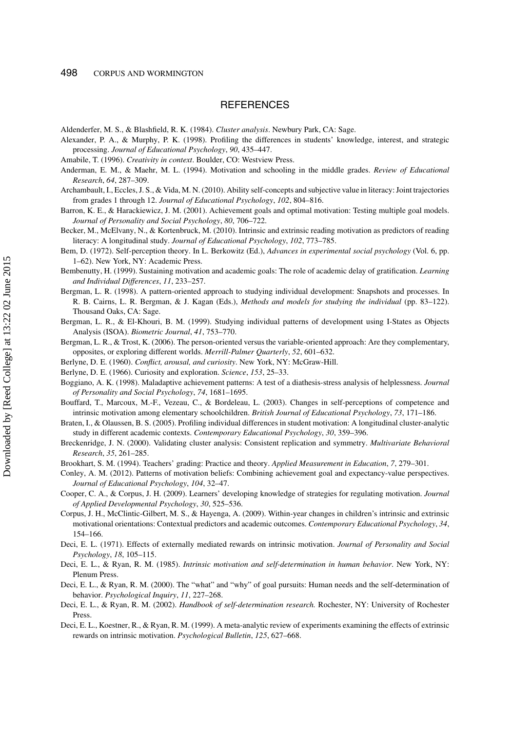#### **REFERENCES**

Aldenderfer, M. S., & Blashfield, R. K. (1984). *Cluster analysis*. Newbury Park, CA: Sage.

Alexander, P. A., & Murphy, P. K. (1998). Profiling the differences in students' knowledge, interest, and strategic processing. *Journal of Educational Psychology*, *90*, 435–447.

- Amabile, T. (1996). *Creativity in context*. Boulder, CO: Westview Press.
- Anderman, E. M., & Maehr, M. L. (1994). Motivation and schooling in the middle grades. *Review of Educational Research*, *64*, 287–309.
- Archambault, I., Eccles, J. S., & Vida, M. N. (2010). Ability self-concepts and subjective value in literacy: Joint trajectories from grades 1 through 12. *Journal of Educational Psychology*, *102*, 804–816.
- Barron, K. E., & Harackiewicz, J. M. (2001). Achievement goals and optimal motivation: Testing multiple goal models. *Journal of Personality and Social Psychology*, *80*, 706–722.
- Becker, M., McElvany, N., & Kortenbruck, M. (2010). Intrinsic and extrinsic reading motivation as predictors of reading literacy: A longitudinal study. *Journal of Educational Psychology*, *102*, 773–785.
- Bem, D. (1972). Self-perception theory. In L. Berkowitz (Ed.), *Advances in experimental social psychology* (Vol. 6, pp. 1–62). New York, NY: Academic Press.
- Bembenutty, H. (1999). Sustaining motivation and academic goals: The role of academic delay of gratification. *Learning and Individual Differences*, *11*, 233–257.
- Bergman, L. R. (1998). A pattern-oriented approach to studying individual development: Snapshots and processes. In R. B. Cairns, L. R. Bergman, & J. Kagan (Eds.), *Methods and models for studying the individual* (pp. 83–122). Thousand Oaks, CA: Sage.
- Bergman, L. R., & El-Khouri, B. M. (1999). Studying individual patterns of development using I-States as Objects Analysis (ISOA). *Biometric Journal*, *41*, 753–770.
- Bergman, L. R., & Trost, K. (2006). The person-oriented versus the variable-oriented approach: Are they complementary, opposites, or exploring different worlds. *Merrill-Palmer Quarterly*, *52*, 601–632.
- Berlyne, D. E. (1960). *Conflict, arousal, and curiosity*. New York, NY: McGraw-Hill.
- Berlyne, D. E. (1966). Curiosity and exploration. *Science*, *153*, 25–33.
- Boggiano, A. K. (1998). Maladaptive achievement patterns: A test of a diathesis-stress analysis of helplessness. *Journal of Personality and Social Psychology*, *74*, 1681–1695.
- Bouffard, T., Marcoux, M.-F., Vezeau, C., & Bordeleau, L. (2003). Changes in self-perceptions of competence and intrinsic motivation among elementary schoolchildren. *British Journal of Educational Psychology*, *73*, 171–186.
- Braten, I., & Olaussen, B. S. (2005). Profiling individual differences in student motivation: A longitudinal cluster-analytic study in different academic contexts. *Contemporary Educational Psychology*, *30*, 359–396.
- Breckenridge, J. N. (2000). Validating cluster analysis: Consistent replication and symmetry. *Multivariate Behavioral Research*, *35*, 261–285.
- Brookhart, S. M. (1994). Teachers' grading: Practice and theory. *Applied Measurement in Education*, *7*, 279–301.
- Conley, A. M. (2012). Patterns of motivation beliefs: Combining achievement goal and expectancy-value perspectives. *Journal of Educational Psychology*, *104*, 32–47.
- Cooper, C. A., & Corpus, J. H. (2009). Learners' developing knowledge of strategies for regulating motivation. *Journal of Applied Developmental Psychology*, *30*, 525–536.
- Corpus, J. H., McClintic-Gilbert, M. S., & Hayenga, A. (2009). Within-year changes in children's intrinsic and extrinsic motivational orientations: Contextual predictors and academic outcomes. *Contemporary Educational Psychology*, *34*, 154–166.
- Deci, E. L. (1971). Effects of externally mediated rewards on intrinsic motivation. *Journal of Personality and Social Psychology*, *18*, 105–115.
- Deci, E. L., & Ryan, R. M. (1985). *Intrinsic motivation and self-determination in human behavior*. New York, NY: Plenum Press.
- Deci, E. L., & Ryan, R. M. (2000). The "what" and "why" of goal pursuits: Human needs and the self-determination of behavior. *Psychological Inquiry*, *11*, 227–268.
- Deci, E. L., & Ryan, R. M. (2002). *Handbook of self-determination research.* Rochester, NY: University of Rochester Press.
- Deci, E. L., Koestner, R., & Ryan, R. M. (1999). A meta-analytic review of experiments examining the effects of extrinsic rewards on intrinsic motivation. *Psychological Bulletin*, *125*, 627–668.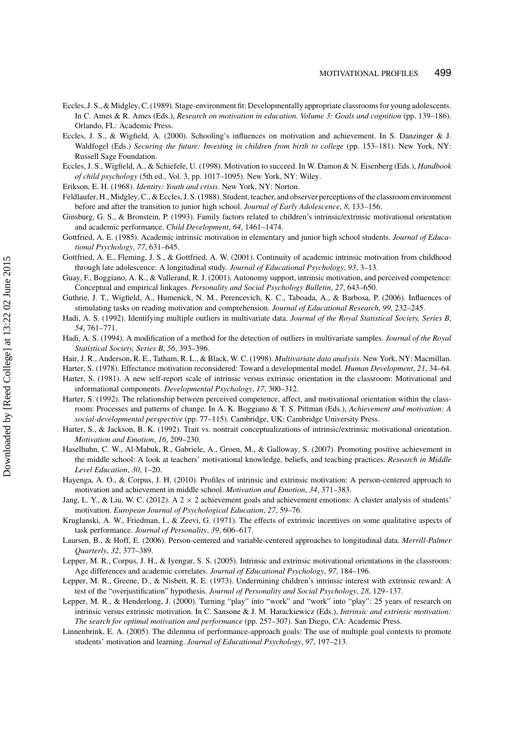- Eccles, J. S., & Midgley, C. (1989). Stage-environment fit: Developmentally appropriate classrooms for young adolescents. In C. Ames & R. Ames (Eds.), *Research on motivation in education. Volume 3: Goals and cognition* (pp. 139–186). Orlando, FL: Academic Press.
- Eccles, J. S., & Wigfield, A. (2000). Schooling's influences on motivation and achievement. In S. Danzinger & J. Waldfogel (Eds.) *Securing the future: Investing in children from birth to college* (pp. 153–181). New York, NY: Russell Sage Foundation.
- Eccles, J. S., Wigfield, A., & Schiefele, U. (1998). Motivation to succeed. In W. Damon & N. Eisenberg (Eds.), *Handbook of child psychology* (5th ed., Vol. 3, pp. 1017–1095). New York, NY: Wiley.
- Erikson, E. H. (1968). *Identity: Youth and crisis*. New York, NY: Norton.
- Feldlaufer, H., Midgley, C., & Eccles, J. S. (1988). Student, teacher, and observer perceptions of the classroom environment before and after the transition to junior high school. *Journal of Early Adolescence*, *8*, 133–156.
- Ginsburg, G. S., & Bronstein, P. (1993). Family factors related to children's intrinsic/extrinsic motivational orientation and academic performance. *Child Development*, *64*, 1461–1474.
- Gottfried, A. E. (1985). Academic intrinsic motivation in elementary and junior high school students. *Journal of Educational Psychology*, *77*, 631–645.
- Gottfried, A. E., Fleming, J. S., & Gottfried, A. W. (2001). Continuity of academic intrinsic motivation from childhood through late adolescence: A longitudinal study. *Journal of Educational Psychology*, *93*, 3–13.
- Guay, F., Boggiano, A. K., & Vallerand, R. J. (2001). Autonomy support, intrinsic motivation, and perceived competence: Conceptual and empirical linkages. *Personality and Social Psychology Bulletin*, *27*, 643–650.
- Guthrie, J. T., Wigfield, A., Humenick, N. M., Perencevich, K. C., Taboada, A., & Barbosa, P. (2006). Influences of stimulating tasks on reading motivation and comprehension. *Journal of Educational Research*, *99*, 232–245.
- Hadi, A. S. (1992). Identifying multiple outliers in multivariate data. *Journal of the Royal Statistical Society, Series B*, *54*, 761–771.
- Hadi, A. S. (1994). A modification of a method for the detection of outliers in multivariate samples. *Journal of the Royal Statistical Society, Series B*, *56*, 393–396.
- Hair, J. R., Anderson, R. E., Tatham, R. L., & Black, W. C. (1998). *Multivariate data analysis*. New York, NY: Macmillan.
- Harter, S. (1978). Effectance motivation reconsidered: Toward a developmental model. *Human Development*, *21*, 34–64.
- Harter, S. (1981). A new self-report scale of intrinsic versus extrinsic orientation in the classroom: Motivational and informational components. *Developmental Psychology*, *17*, 300–312.
- Harter, S. (1992). The relationship between perceived competence, affect, and motivational orientation within the classroom: Processes and patterns of change. In A. K. Boggiano & T. S. Pittman (Eds.), *Achievement and motivation: A social-developmental perspective* (pp. 77–115). Cambridge, UK: Cambridge University Press.
- Harter, S., & Jackson, B. K. (1992). Trait vs. nontrait conceptualizations of intrinsic/extrinsic motivational orientation. *Motivation and Emotion*, *16*, 209–230.
- Haselhuhn, C. W., Al-Mabuk, R., Gabriele, A., Groen, M., & Galloway, S. (2007). Promoting positive achievement in the middle school: A look at teachers' motivational knowledge, beliefs, and teaching practices. *Research in Middle Level Education*, *30*, 1–20.
- Hayenga, A. O., & Corpus, J. H. (2010). Profiles of intrinsic and extrinsic motivation: A person-centered approach to motivation and achievement in middle school. *Motivation and Emotion*, *34*, 371–383.
- Jang, L. Y., & Liu, W. C. (2012). A  $2 \times 2$  achievement goals and achievement emotions: A cluster analysis of students' motivation. *European Journal of Psychological Education*, *27*, 59–76.
- Kruglanski, A. W., Friedman, I., & Zeevi, G. (1971). The effects of extrinsic incentives on some qualitative aspects of task performance. *Journal of Personality*, *39*, 606–617.
- Laursen, B., & Hoff, E. (2006). Person-centered and variable-centered approaches to longitudinal data. *Merrill-Palmer Quarterly*, *32*, 377–389.
- Lepper, M. R., Corpus, J. H., & Iyengar, S. S. (2005). Intrinsic and extrinsic motivational orientations in the classroom: Age differences and academic correlates. *Journal of Educational Psychology*, *97*, 184–196.
- Lepper, M. R., Greene, D., & Nisbett, R. E. (1973). Undermining children's intrinsic interest with extrinsic reward: A test of the "overjustification" hypothesis. *Journal of Personality and Social Psychology*, *28*, 129–137.
- Lepper, M. R., & Henderlong, J. (2000). Turning "play" into "work" and "work" into "play": 25 years of research on intrinsic versus extrinsic motivation. In C. Sansone & J. M. Harackiewicz (Eds.), *Intrinsic and extrinsic motivation: The search for optimal motivation and performance* (pp. 257–307). San Diego, CA: Academic Press.
- Linnenbrink, E. A. (2005). The dilemma of performance-approach goals: The use of multiple goal contexts to promote students' motivation and learning. *Journal of Educational Psychology*, *97*, 197–213.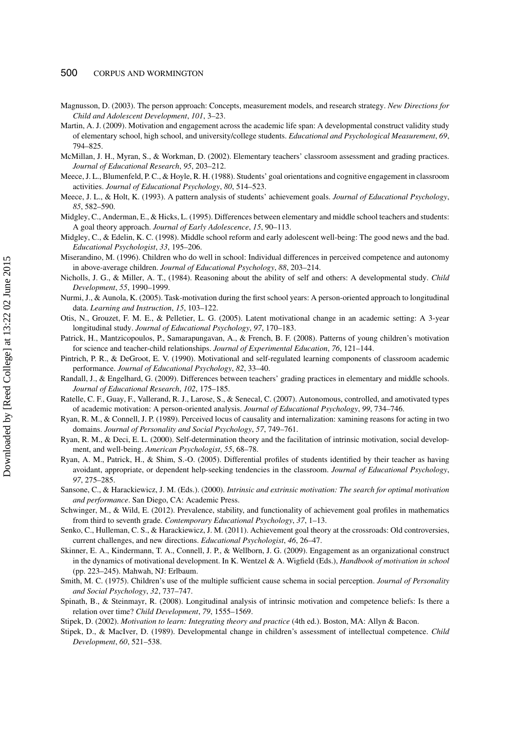#### 500 CORPUS AND WORMINGTON

- Magnusson, D. (2003). The person approach: Concepts, measurement models, and research strategy. *New Directions for Child and Adolescent Development*, *101*, 3–23.
- Martin, A. J. (2009). Motivation and engagement across the academic life span: A developmental construct validity study of elementary school, high school, and university/college students. *Educational and Psychological Measurement*, *69*, 794–825.
- McMillan, J. H., Myran, S., & Workman, D. (2002). Elementary teachers' classroom assessment and grading practices. *Journal of Educational Research*, *95*, 203–212.
- Meece, J. L., Blumenfeld, P. C., & Hoyle, R. H. (1988). Students' goal orientations and cognitive engagement in classroom activities. *Journal of Educational Psychology*, *80*, 514–523.
- Meece, J. L., & Holt, K. (1993). A pattern analysis of students' achievement goals. *Journal of Educational Psychology*, *85*, 582–590.
- Midgley, C., Anderman, E., & Hicks, L. (1995). Differences between elementary and middle school teachers and students: A goal theory approach. *Journal of Early Adolescence*, *15*, 90–113.
- Midgley, C., & Edelin, K. C. (1998). Middle school reform and early adolescent well-being: The good news and the bad. *Educational Psychologist*, *33*, 195–206.
- Miserandino, M. (1996). Children who do well in school: Individual differences in perceived competence and autonomy in above-average children. *Journal of Educational Psychology*, *88*, 203–214.
- Nicholls, J. G., & Miller, A. T., (1984). Reasoning about the ability of self and others: A developmental study. *Child Development*, *55*, 1990–1999.
- Nurmi, J., & Aunola, K. (2005). Task-motivation during the first school years: A person-oriented approach to longitudinal data. *Learning and Instruction*, *15*, 103–122.
- Otis, N., Grouzet, F. M. E., & Pelletier, L. G. (2005). Latent motivational change in an academic setting: A 3-year longitudinal study. *Journal of Educational Psychology*, *97*, 170–183.
- Patrick, H., Mantzicopoulos, P., Samarapungavan, A., & French, B. F. (2008). Patterns of young children's motivation for science and teacher-child relationships. *Journal of Experimental Education*, *76*, 121–144.
- Pintrich, P. R., & DeGroot, E. V. (1990). Motivational and self-regulated learning components of classroom academic performance. *Journal of Educational Psychology*, *82*, 33–40.
- Randall, J., & Engelhard, G. (2009). Differences between teachers' grading practices in elementary and middle schools. *Journal of Educational Research*, *102*, 175–185.
- Ratelle, C. F., Guay, F., Vallerand, R. J., Larose, S., & Senecal, C. (2007). Autonomous, controlled, and amotivated types of academic motivation: A person-oriented analysis. *Journal of Educational Psychology*, *99*, 734–746.
- Ryan, R. M., & Connell, J. P. (1989). Perceived locus of causality and internalization: xamining reasons for acting in two domains. *Journal of Personality and Social Psychology*, *57*, 749–761.
- Ryan, R. M., & Deci, E. L. (2000). Self-determination theory and the facilitation of intrinsic motivation, social development, and well-being. *American Psychologist*, *55*, 68–78.
- Ryan, A. M., Patrick, H., & Shim, S.-O. (2005). Differential profiles of students identified by their teacher as having avoidant, appropriate, or dependent help-seeking tendencies in the classroom. *Journal of Educational Psychology*, *97*, 275–285.
- Sansone, C., & Harackiewicz, J. M. (Eds.). (2000). *Intrinsic and extrinsic motivation: The search for optimal motivation and performance*. San Diego, CA: Academic Press.
- Schwinger, M., & Wild, E. (2012). Prevalence, stability, and functionality of achievement goal profiles in mathematics from third to seventh grade. *Contemporary Educational Psychology*, *37*, 1–13.
- Senko, C., Hulleman, C. S., & Harackiewicz, J. M. (2011). Achievement goal theory at the crossroads: Old controversies, current challenges, and new directions. *Educational Psychologist*, *46*, 26–47.
- Skinner, E. A., Kindermann, T. A., Connell, J. P., & Wellborn, J. G. (2009). Engagement as an organizational construct in the dynamics of motivational development. In K. Wentzel & A. Wigfield (Eds.), *Handbook of motivation in school* (pp. 223–245). Mahwah, NJ: Erlbaum.
- Smith, M. C. (1975). Children's use of the multiple sufficient cause schema in social perception. *Journal of Personality and Social Psychology*, *32*, 737–747.
- Spinath, B., & Steinmayr, R. (2008). Longitudinal analysis of intrinsic motivation and competence beliefs: Is there a relation over time? *Child Development*, *79*, 1555–1569.
- Stipek, D. (2002). *Motivation to learn: Integrating theory and practice* (4th ed.). Boston, MA: Allyn & Bacon.
- Stipek, D., & MacIver, D. (1989). Developmental change in children's assessment of intellectual competence. *Child Development*, *60*, 521–538.